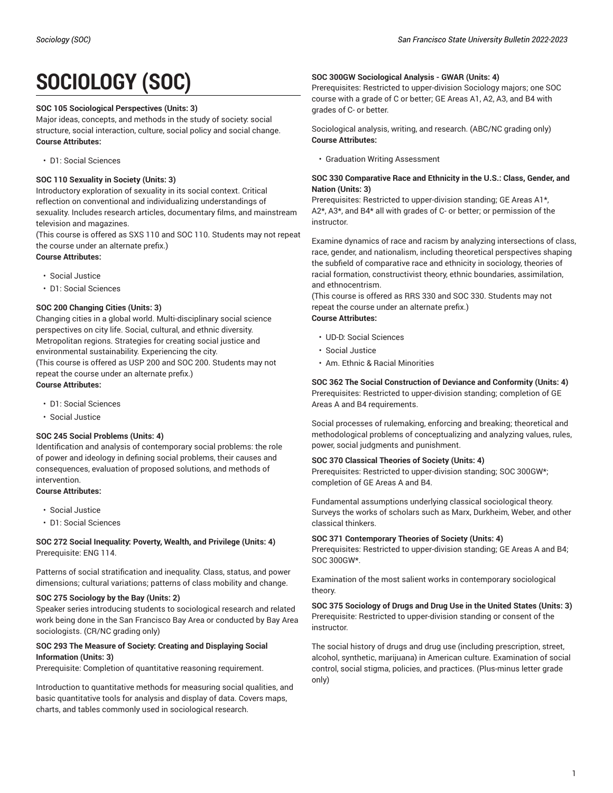# **SOCIOLOGY (SOC)**

#### **SOC 105 Sociological Perspectives (Units: 3)**

Major ideas, concepts, and methods in the study of society: social structure, social interaction, culture, social policy and social change. **Course Attributes:**

• D1: Social Sciences

#### **SOC 110 Sexuality in Society (Units: 3)**

Introductory exploration of sexuality in its social context. Critical reflection on conventional and individualizing understandings of sexuality. Includes research articles, documentary films, and mainstream television and magazines.

(This course is offered as SXS 110 and SOC 110. Students may not repeat the course under an alternate prefix.)

**Course Attributes:**

- Social Justice
- D1: Social Sciences

#### **SOC 200 Changing Cities (Units: 3)**

Changing cities in a global world. Multi-disciplinary social science perspectives on city life. Social, cultural, and ethnic diversity. Metropolitan regions. Strategies for creating social justice and environmental sustainability. Experiencing the city. (This course is offered as USP 200 and SOC 200. Students may not repeat the course under an alternate prefix.) **Course Attributes:**

- D1: Social Sciences
- Social Justice

#### **SOC 245 Social Problems (Units: 4)**

Identification and analysis of contemporary social problems: the role of power and ideology in defining social problems, their causes and consequences, evaluation of proposed solutions, and methods of intervention.

# **Course Attributes:**

- Social Justice
- D1: Social Sciences

#### **SOC 272 Social Inequality: Poverty, Wealth, and Privilege (Units: 4)** Prerequisite: ENG 114.

Patterns of social stratification and inequality. Class, status, and power dimensions; cultural variations; patterns of class mobility and change.

#### **SOC 275 Sociology by the Bay (Units: 2)**

Speaker series introducing students to sociological research and related work being done in the San Francisco Bay Area or conducted by Bay Area sociologists. (CR/NC grading only)

#### **SOC 293 The Measure of Society: Creating and Displaying Social Information (Units: 3)**

Prerequisite: Completion of quantitative reasoning requirement.

Introduction to quantitative methods for measuring social qualities, and basic quantitative tools for analysis and display of data. Covers maps, charts, and tables commonly used in sociological research.

#### **SOC 300GW Sociological Analysis - GWAR (Units: 4)**

Prerequisites: Restricted to upper-division Sociology majors; one SOC course with a grade of C or better; GE Areas A1, A2, A3, and B4 with grades of C- or better.

Sociological analysis, writing, and research. (ABC/NC grading only) **Course Attributes:**

• Graduation Writing Assessment

#### **SOC 330 Comparative Race and Ethnicity in the U.S.: Class, Gender, and Nation (Units: 3)**

Prerequisites: Restricted to upper-division standing; GE Areas A1\*, A2\*, A3\*, and B4\* all with grades of C- or better; or permission of the instructor.

Examine dynamics of race and racism by analyzing intersections of class, race, gender, and nationalism, including theoretical perspectives shaping the subfield of comparative race and ethnicity in sociology, theories of racial formation, constructivist theory, ethnic boundaries, assimilation, and ethnocentrism.

(This course is offered as RRS 330 and SOC 330. Students may not repeat the course under an alternate prefix.) **Course Attributes:**

- UD-D: Social Sciences
- Social Justice
- Am. Ethnic & Racial Minorities

**SOC 362 The Social Construction of Deviance and Conformity (Units: 4)** Prerequisites: Restricted to upper-division standing; completion of GE Areas A and B4 requirements.

Social processes of rulemaking, enforcing and breaking; theoretical and methodological problems of conceptualizing and analyzing values, rules, power, social judgments and punishment.

#### **SOC 370 Classical Theories of Society (Units: 4)**

Prerequisites: Restricted to upper-division standing; SOC 300GW\*; completion of GE Areas A and B4.

Fundamental assumptions underlying classical sociological theory. Surveys the works of scholars such as Marx, Durkheim, Weber, and other classical thinkers.

#### **SOC 371 Contemporary Theories of Society (Units: 4)**

Prerequisites: Restricted to upper-division standing; GE Areas A and B4; SOC 300GW\*.

Examination of the most salient works in contemporary sociological theory.

**SOC 375 Sociology of Drugs and Drug Use in the United States (Units: 3)** Prerequisite: Restricted to upper-division standing or consent of the instructor.

The social history of drugs and drug use (including prescription, street, alcohol, synthetic, marijuana) in American culture. Examination of social control, social stigma, policies, and practices. (Plus-minus letter grade only)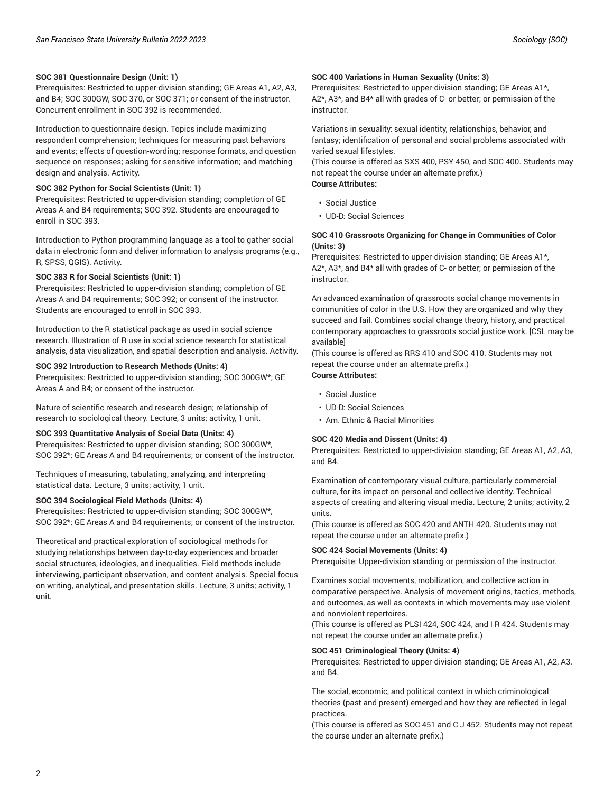#### **SOC 381 Questionnaire Design (Unit: 1)**

Prerequisites: Restricted to upper-division standing; GE Areas A1, A2, A3, and B4; SOC 300GW, SOC 370, or SOC 371; or consent of the instructor. Concurrent enrollment in SOC 392 is recommended.

# Introduction to questionnaire design. Topics include maximizing

respondent comprehension; techniques for measuring past behaviors and events; effects of question-wording; response formats, and question sequence on responses; asking for sensitive information; and matching design and analysis. Activity.

## **SOC 382 Python for Social Scientists (Unit: 1)**

Prerequisites: Restricted to upper-division standing; completion of GE Areas A and B4 requirements; SOC 392. Students are encouraged to enroll in SOC 393.

Introduction to Python programming language as a tool to gather social data in electronic form and deliver information to analysis programs (e.g., R, SPSS, QGIS). Activity.

#### **SOC 383 R for Social Scientists (Unit: 1)**

Prerequisites: Restricted to upper-division standing; completion of GE Areas A and B4 requirements; SOC 392; or consent of the instructor. Students are encouraged to enroll in SOC 393.

Introduction to the R statistical package as used in social science research. Illustration of R use in social science research for statistical analysis, data visualization, and spatial description and analysis. Activity.

#### **SOC 392 Introduction to Research Methods (Units: 4)**

Prerequisites: Restricted to upper-division standing; SOC 300GW\*; GE Areas A and B4; or consent of the instructor.

Nature of scientific research and research design; relationship of research to sociological theory. Lecture, 3 units; activity, 1 unit.

#### **SOC 393 Quantitative Analysis of Social Data (Units: 4)**

Prerequisites: Restricted to upper-division standing; SOC 300GW\*, SOC 392\*; GE Areas A and B4 requirements; or consent of the instructor.

Techniques of measuring, tabulating, analyzing, and interpreting statistical data. Lecture, 3 units; activity, 1 unit.

#### **SOC 394 Sociological Field Methods (Units: 4)**

Prerequisites: Restricted to upper-division standing; SOC 300GW\*, SOC 392\*; GE Areas A and B4 requirements; or consent of the instructor.

Theoretical and practical exploration of sociological methods for studying relationships between day-to-day experiences and broader social structures, ideologies, and inequalities. Field methods include interviewing, participant observation, and content analysis. Special focus on writing, analytical, and presentation skills. Lecture, 3 units; activity, 1 unit.

#### **SOC 400 Variations in Human Sexuality (Units: 3)**

Prerequisites: Restricted to upper-division standing; GE Areas A1\*, A2\*, A3\*, and B4\* all with grades of C- or better; or permission of the instructor.

Variations in sexuality: sexual identity, relationships, behavior, and fantasy; identification of personal and social problems associated with varied sexual lifestyles.

(This course is offered as SXS 400, PSY 450, and SOC 400. Students may not repeat the course under an alternate prefix.) **Course Attributes:**

- Social Justice
- UD-D: Social Sciences

#### **SOC 410 Grassroots Organizing for Change in Communities of Color (Units: 3)**

Prerequisites: Restricted to upper-division standing; GE Areas A1\*, A2\*, A3\*, and B4\* all with grades of C- or better; or permission of the instructor.

An advanced examination of grassroots social change movements in communities of color in the U.S. How they are organized and why they succeed and fail. Combines social change theory, history, and practical contemporary approaches to grassroots social justice work. [CSL may be available]

(This course is offered as RRS 410 and SOC 410. Students may not repeat the course under an alternate prefix.) **Course Attributes:**

- Social Justice
- UD-D: Social Sciences
- Am. Ethnic & Racial Minorities

#### **SOC 420 Media and Dissent (Units: 4)**

Prerequisites: Restricted to upper-division standing; GE Areas A1, A2, A3, and B4.

Examination of contemporary visual culture, particularly commercial culture, for its impact on personal and collective identity. Technical aspects of creating and altering visual media. Lecture, 2 units; activity, 2 units.

(This course is offered as SOC 420 and ANTH 420. Students may not repeat the course under an alternate prefix.)

#### **SOC 424 Social Movements (Units: 4)**

Prerequisite: Upper-division standing or permission of the instructor.

Examines social movements, mobilization, and collective action in comparative perspective. Analysis of movement origins, tactics, methods, and outcomes, as well as contexts in which movements may use violent and nonviolent repertoires.

(This course is offered as PLSI 424, SOC 424, and I R 424. Students may not repeat the course under an alternate prefix.)

#### **SOC 451 Criminological Theory (Units: 4)**

Prerequisites: Restricted to upper-division standing; GE Areas A1, A2, A3, and B4.

The social, economic, and political context in which criminological theories (past and present) emerged and how they are reflected in legal practices.

(This course is offered as SOC 451 and C J 452. Students may not repeat the course under an alternate prefix.)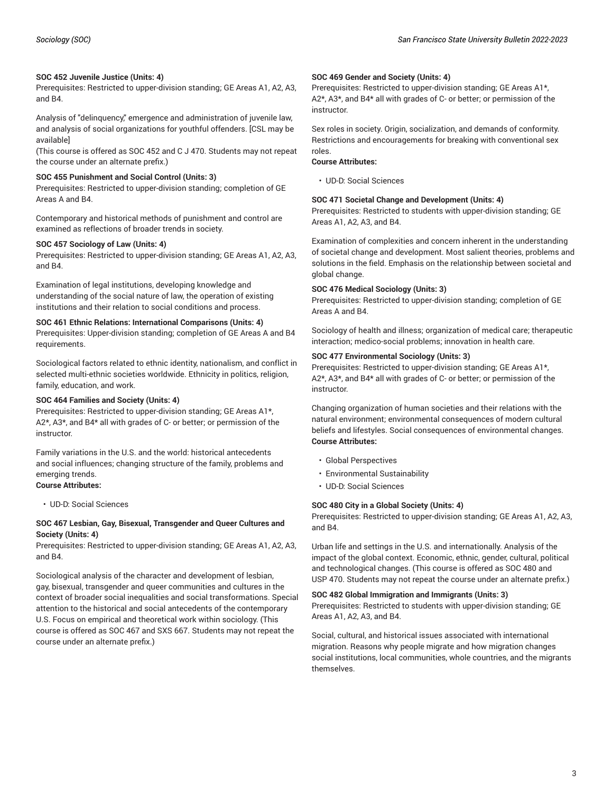#### **SOC 452 Juvenile Justice (Units: 4)**

Prerequisites: Restricted to upper-division standing; GE Areas A1, A2, A3, and B4.

Analysis of "delinquency," emergence and administration of juvenile law, and analysis of social organizations for youthful offenders. [CSL may be available]

(This course is offered as SOC 452 and C J 470. Students may not repeat the course under an alternate prefix.)

#### **SOC 455 Punishment and Social Control (Units: 3)**

Prerequisites: Restricted to upper-division standing; completion of GE Areas A and B4.

Contemporary and historical methods of punishment and control are examined as reflections of broader trends in society.

#### **SOC 457 Sociology of Law (Units: 4)**

Prerequisites: Restricted to upper-division standing; GE Areas A1, A2, A3, and B4.

Examination of legal institutions, developing knowledge and understanding of the social nature of law, the operation of existing institutions and their relation to social conditions and process.

#### **SOC 461 Ethnic Relations: International Comparisons (Units: 4)**

Prerequisites: Upper-division standing; completion of GE Areas A and B4 requirements.

Sociological factors related to ethnic identity, nationalism, and conflict in selected multi-ethnic societies worldwide. Ethnicity in politics, religion, family, education, and work.

#### **SOC 464 Families and Society (Units: 4)**

Prerequisites: Restricted to upper-division standing; GE Areas A1\*, A2\*, A3\*, and B4\* all with grades of C- or better; or permission of the instructor.

Family variations in the U.S. and the world: historical antecedents and social influences; changing structure of the family, problems and emerging trends.

# **Course Attributes:**

• UD-D: Social Sciences

#### **SOC 467 Lesbian, Gay, Bisexual, Transgender and Queer Cultures and Society (Units: 4)**

Prerequisites: Restricted to upper-division standing; GE Areas A1, A2, A3, and B4.

Sociological analysis of the character and development of lesbian, gay, bisexual, transgender and queer communities and cultures in the context of broader social inequalities and social transformations. Special attention to the historical and social antecedents of the contemporary U.S. Focus on empirical and theoretical work within sociology. (This course is offered as SOC 467 and SXS 667. Students may not repeat the course under an alternate prefix.)

#### **SOC 469 Gender and Society (Units: 4)**

Prerequisites: Restricted to upper-division standing; GE Areas A1\*, A2\*, A3\*, and B4\* all with grades of C- or better; or permission of the instructor.

Sex roles in society. Origin, socialization, and demands of conformity. Restrictions and encouragements for breaking with conventional sex roles.

#### **Course Attributes:**

• UD-D: Social Sciences

#### **SOC 471 Societal Change and Development (Units: 4)**

Prerequisites: Restricted to students with upper-division standing; GE Areas A1, A2, A3, and B4.

Examination of complexities and concern inherent in the understanding of societal change and development. Most salient theories, problems and solutions in the field. Emphasis on the relationship between societal and global change.

#### **SOC 476 Medical Sociology (Units: 3)**

Prerequisites: Restricted to upper-division standing; completion of GE Areas A and B4.

Sociology of health and illness; organization of medical care; therapeutic interaction; medico-social problems; innovation in health care.

#### **SOC 477 Environmental Sociology (Units: 3)**

Prerequisites: Restricted to upper-division standing; GE Areas A1\*, A2\*, A3\*, and B4\* all with grades of C- or better; or permission of the instructor.

Changing organization of human societies and their relations with the natural environment; environmental consequences of modern cultural beliefs and lifestyles. Social consequences of environmental changes. **Course Attributes:**

- Global Perspectives
- Environmental Sustainability
- UD-D: Social Sciences

#### **SOC 480 City in a Global Society (Units: 4)**

Prerequisites: Restricted to upper-division standing; GE Areas A1, A2, A3, and B4.

Urban life and settings in the U.S. and internationally. Analysis of the impact of the global context. Economic, ethnic, gender, cultural, political and technological changes. (This course is offered as SOC 480 and USP 470. Students may not repeat the course under an alternate prefix.)

#### **SOC 482 Global Immigration and Immigrants (Units: 3)**

Prerequisites: Restricted to students with upper-division standing; GE Areas A1, A2, A3, and B4.

Social, cultural, and historical issues associated with international migration. Reasons why people migrate and how migration changes social institutions, local communities, whole countries, and the migrants themselves.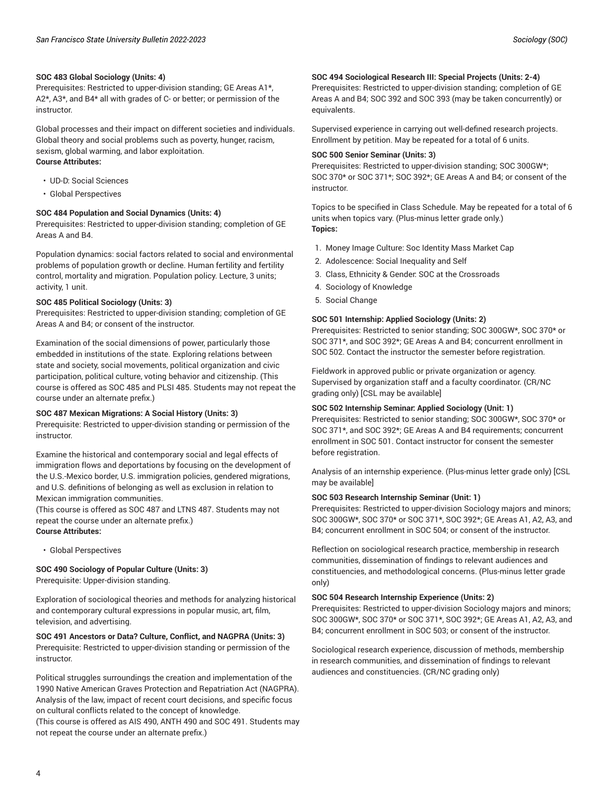#### **SOC 483 Global Sociology (Units: 4)**

Prerequisites: Restricted to upper-division standing; GE Areas A1\*, A2\*, A3\*, and B4\* all with grades of C- or better; or permission of the instructor.

Global processes and their impact on different societies and individuals. Global theory and social problems such as poverty, hunger, racism, sexism, global warming, and labor exploitation. **Course Attributes:**

- UD-D: Social Sciences
- Global Perspectives

## **SOC 484 Population and Social Dynamics (Units: 4)**

Prerequisites: Restricted to upper-division standing; completion of GE Areas A and B4.

Population dynamics: social factors related to social and environmental problems of population growth or decline. Human fertility and fertility control, mortality and migration. Population policy. Lecture, 3 units; activity, 1 unit.

#### **SOC 485 Political Sociology (Units: 3)**

Prerequisites: Restricted to upper-division standing; completion of GE Areas A and B4; or consent of the instructor.

Examination of the social dimensions of power, particularly those embedded in institutions of the state. Exploring relations between state and society, social movements, political organization and civic participation, political culture, voting behavior and citizenship. (This course is offered as SOC 485 and PLSI 485. Students may not repeat the course under an alternate prefix.)

#### **SOC 487 Mexican Migrations: A Social History (Units: 3)**

Prerequisite: Restricted to upper-division standing or permission of the instructor.

Examine the historical and contemporary social and legal effects of immigration flows and deportations by focusing on the development of the U.S.-Mexico border, U.S. immigration policies, gendered migrations, and U.S. definitions of belonging as well as exclusion in relation to Mexican immigration communities.

(This course is offered as SOC 487 and LTNS 487. Students may not repeat the course under an alternate prefix.) **Course Attributes:**

• Global Perspectives

#### **SOC 490 Sociology of Popular Culture (Units: 3)**

Prerequisite: Upper-division standing.

Exploration of sociological theories and methods for analyzing historical and contemporary cultural expressions in popular music, art, film, television, and advertising.

**SOC 491 Ancestors or Data? Culture, Conflict, and NAGPRA (Units: 3)** Prerequisite: Restricted to upper-division standing or permission of the instructor.

Political struggles surroundings the creation and implementation of the 1990 Native American Graves Protection and Repatriation Act (NAGPRA). Analysis of the law, impact of recent court decisions, and specific focus on cultural conflicts related to the concept of knowledge. (This course is offered as AIS 490, ANTH 490 and SOC 491. Students may not repeat the course under an alternate prefix.)

#### **SOC 494 Sociological Research III: Special Projects (Units: 2-4)**

Prerequisites: Restricted to upper-division standing; completion of GE Areas A and B4; SOC 392 and SOC 393 (may be taken concurrently) or equivalents.

Supervised experience in carrying out well-defined research projects. Enrollment by petition. May be repeated for a total of 6 units.

#### **SOC 500 Senior Seminar (Units: 3)**

Prerequisites: Restricted to upper-division standing; SOC 300GW\*; SOC 370\* or SOC 371\*; SOC 392\*; GE Areas A and B4; or consent of the instructor.

Topics to be specified in Class Schedule. May be repeated for a total of 6 units when topics vary. (Plus-minus letter grade only.) **Topics:**

- 1. Money Image Culture: Soc Identity Mass Market Cap
- 2. Adolescence: Social Inequality and Self
- 3. Class, Ethnicity & Gender: SOC at the Crossroads
- 4. Sociology of Knowledge
- 5. Social Change

#### **SOC 501 Internship: Applied Sociology (Units: 2)**

Prerequisites: Restricted to senior standing; SOC 300GW\*, SOC 370\* or SOC 371\*, and SOC 392\*; GE Areas A and B4; concurrent enrollment in SOC 502. Contact the instructor the semester before registration.

Fieldwork in approved public or private organization or agency. Supervised by organization staff and a faculty coordinator. (CR/NC grading only) [CSL may be available]

#### **SOC 502 Internship Seminar: Applied Sociology (Unit: 1)**

Prerequisites: Restricted to senior standing; SOC 300GW\*, SOC 370\* or SOC 371\*, and SOC 392\*; GE Areas A and B4 requirements; concurrent enrollment in SOC 501. Contact instructor for consent the semester before registration.

Analysis of an internship experience. (Plus-minus letter grade only) [CSL may be available]

#### **SOC 503 Research Internship Seminar (Unit: 1)**

Prerequisites: Restricted to upper-division Sociology majors and minors; SOC 300GW\*, SOC 370\* or SOC 371\*, SOC 392\*; GE Areas A1, A2, A3, and B4; concurrent enrollment in SOC 504; or consent of the instructor.

Reflection on sociological research practice, membership in research communities, dissemination of findings to relevant audiences and constituencies, and methodological concerns. (Plus-minus letter grade only)

#### **SOC 504 Research Internship Experience (Units: 2)**

Prerequisites: Restricted to upper-division Sociology majors and minors; SOC 300GW\*, SOC 370\* or SOC 371\*, SOC 392\*; GE Areas A1, A2, A3, and B4; concurrent enrollment in SOC 503; or consent of the instructor.

Sociological research experience, discussion of methods, membership in research communities, and dissemination of findings to relevant audiences and constituencies. (CR/NC grading only)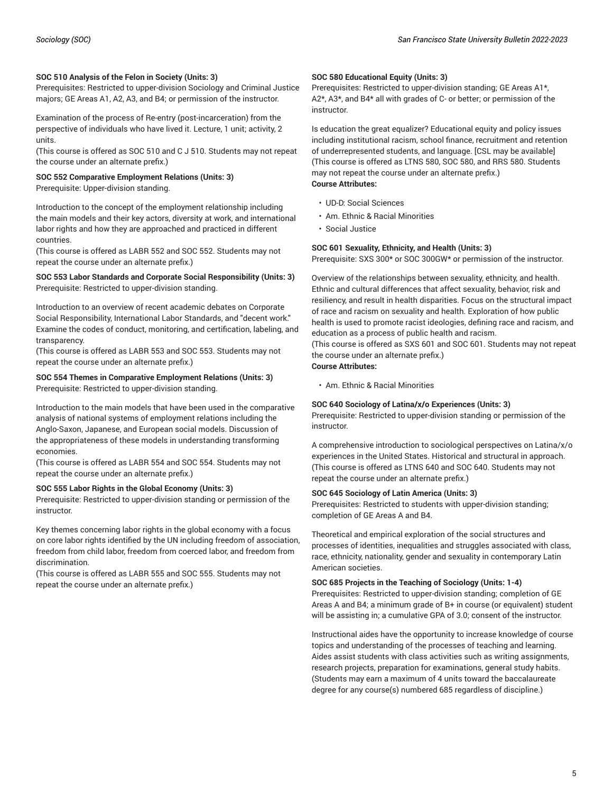#### **SOC 510 Analysis of the Felon in Society (Units: 3)**

Prerequisites: Restricted to upper-division Sociology and Criminal Justice majors; GE Areas A1, A2, A3, and B4; or permission of the instructor.

Examination of the process of Re-entry (post-incarceration) from the perspective of individuals who have lived it. Lecture, 1 unit; activity, 2 units.

(This course is offered as SOC 510 and C J 510. Students may not repeat the course under an alternate prefix.)

#### **SOC 552 Comparative Employment Relations (Units: 3)** Prerequisite: Upper-division standing.

Introduction to the concept of the employment relationship including the main models and their key actors, diversity at work, and international labor rights and how they are approached and practiced in different countries.

(This course is offered as LABR 552 and SOC 552. Students may not repeat the course under an alternate prefix.)

#### **SOC 553 Labor Standards and Corporate Social Responsibility (Units: 3)** Prerequisite: Restricted to upper-division standing.

Introduction to an overview of recent academic debates on Corporate Social Responsibility, International Labor Standards, and "decent work." Examine the codes of conduct, monitoring, and certification, labeling, and transparency.

(This course is offered as LABR 553 and SOC 553. Students may not repeat the course under an alternate prefix.)

#### **SOC 554 Themes in Comparative Employment Relations (Units: 3)** Prerequisite: Restricted to upper-division standing.

Introduction to the main models that have been used in the comparative analysis of national systems of employment relations including the Anglo-Saxon, Japanese, and European social models. Discussion of the appropriateness of these models in understanding transforming economies.

(This course is offered as LABR 554 and SOC 554. Students may not repeat the course under an alternate prefix.)

#### **SOC 555 Labor Rights in the Global Economy (Units: 3)**

Prerequisite: Restricted to upper-division standing or permission of the instructor.

Key themes concerning labor rights in the global economy with a focus on core labor rights identified by the UN including freedom of association, freedom from child labor, freedom from coerced labor, and freedom from discrimination.

(This course is offered as LABR 555 and SOC 555. Students may not repeat the course under an alternate prefix.)

#### **SOC 580 Educational Equity (Units: 3)**

Prerequisites: Restricted to upper-division standing; GE Areas A1\*, A2\*, A3\*, and B4\* all with grades of C- or better; or permission of the instructor.

Is education the great equalizer? Educational equity and policy issues including institutional racism, school finance, recruitment and retention of underrepresented students, and language. [CSL may be available] (This course is offered as LTNS 580, SOC 580, and RRS 580. Students may not repeat the course under an alternate prefix.) **Course Attributes:**

- UD-D: Social Sciences
- Am. Ethnic & Racial Minorities
- Social Justice

#### **SOC 601 Sexuality, Ethnicity, and Health (Units: 3)**

Prerequisite: SXS 300\* or SOC 300GW\* or permission of the instructor.

Overview of the relationships between sexuality, ethnicity, and health. Ethnic and cultural differences that affect sexuality, behavior, risk and resiliency, and result in health disparities. Focus on the structural impact of race and racism on sexuality and health. Exploration of how public health is used to promote racist ideologies, defining race and racism, and education as a process of public health and racism.

(This course is offered as SXS 601 and SOC 601. Students may not repeat the course under an alternate prefix.)

## **Course Attributes:**

• Am. Ethnic & Racial Minorities

#### **SOC 640 Sociology of Latina/x/o Experiences (Units: 3)**

Prerequisite: Restricted to upper-division standing or permission of the instructor.

A comprehensive introduction to sociological perspectives on Latina/x/o experiences in the United States. Historical and structural in approach. (This course is offered as LTNS 640 and SOC 640. Students may not repeat the course under an alternate prefix.)

#### **SOC 645 Sociology of Latin America (Units: 3)**

Prerequisites: Restricted to students with upper-division standing; completion of GE Areas A and B4.

Theoretical and empirical exploration of the social structures and processes of identities, inequalities and struggles associated with class, race, ethnicity, nationality, gender and sexuality in contemporary Latin American societies.

#### **SOC 685 Projects in the Teaching of Sociology (Units: 1-4)**

Prerequisites: Restricted to upper-division standing; completion of GE Areas A and B4; a minimum grade of B+ in course (or equivalent) student will be assisting in; a cumulative GPA of 3.0; consent of the instructor.

Instructional aides have the opportunity to increase knowledge of course topics and understanding of the processes of teaching and learning. Aides assist students with class activities such as writing assignments, research projects, preparation for examinations, general study habits. (Students may earn a maximum of 4 units toward the baccalaureate degree for any course(s) numbered 685 regardless of discipline.)